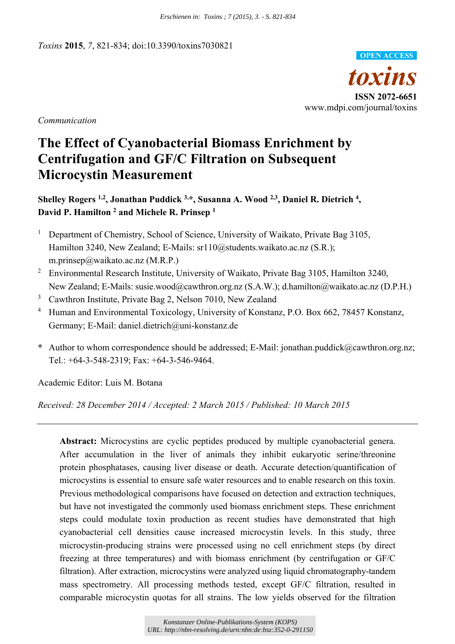*Toxins* **2015**, *7*, 821-834; doi:10.3390/toxins7030821



*Communication* 

# **The Effect of Cyanobacterial Biomass Enrichment by Centrifugation and GF/C Filtration on Subsequent Microcystin Measurement**

**Shelley Rogers 1,2, Jonathan Puddick 3,\*, Susanna A. Wood 2,3, Daniel R. Dietrich 4, David P. Hamilton 2 and Michele R. Prinsep 1**

- 1 Department of Chemistry, School of Science, University of Waikato, Private Bag 3105, Hamilton 3240, New Zealand; E-Mails: sr110@students.waikato.ac.nz (S.R.); m.prinsep@waikato.ac.nz (M.R.P.)
- <sup>2</sup> Environmental Research Institute, University of Waikato, Private Bag 3105, Hamilton 3240, New Zealand; E-Mails: susie.wood@cawthron.org.nz (S.A.W.); d.hamilton@waikato.ac.nz (D.P.H.)
- 3 Cawthron Institute, Private Bag 2, Nelson 7010, New Zealand
- 4 Human and Environmental Toxicology, University of Konstanz, P.O. Box 662, 78457 Konstanz, Germany; E-Mail: daniel.dietrich@uni-konstanz.de
- **\*** Author to whom correspondence should be addressed; E-Mail: jonathan.puddick@cawthron.org.nz; Tel.: +64-3-548-2319; Fax: +64-3-546-9464.

Academic Editor: Luis M. Botana

*Received: 28 December 2014 / Accepted: 2 March 2015 / Published: 10 March 2015* 

**Abstract:** Microcystins are cyclic peptides produced by multiple cyanobacterial genera. After accumulation in the liver of animals they inhibit eukaryotic serine/threonine protein phosphatases, causing liver disease or death. Accurate detection/quantification of microcystins is essential to ensure safe water resources and to enable research on this toxin. Previous methodological comparisons have focused on detection and extraction techniques, but have not investigated the commonly used biomass enrichment steps. These enrichment steps could modulate toxin production as recent studies have demonstrated that high cyanobacterial cell densities cause increased microcystin levels. In this study, three microcystin-producing strains were processed using no cell enrichment steps (by direct freezing at three temperatures) and with biomass enrichment (by centrifugation or GF/C filtration). After extraction, microcystins were analyzed using liquid chromatography-tandem mass spectrometry. All processing methods tested, except GF/C filtration, resulted in comparable microcystin quotas for all strains. The low yields observed for the filtration *Enchienen in: Toxins ; 7 (2015), 3. - S. 821-834*<br> **URL: CONTEST CONTEST CONTEST CONTEST CONTEST CONTEST CONTEST PROPERTIES PRODUCT PRODUCT PRODUCT PRODUCT PRODUCT PRODUCT PRODUCT PRODUCT CONTEST CONTEST CONTEST CONTEST C**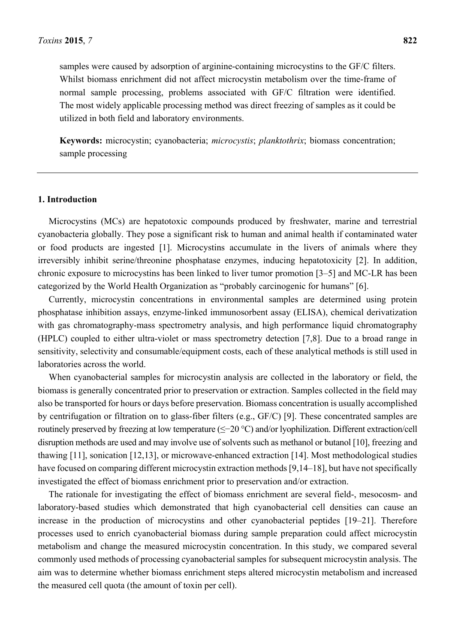samples were caused by adsorption of arginine-containing microcystins to the GF/C filters. Whilst biomass enrichment did not affect microcystin metabolism over the time-frame of normal sample processing, problems associated with GF/C filtration were identified. The most widely applicable processing method was direct freezing of samples as it could be utilized in both field and laboratory environments.

**Keywords:** microcystin; cyanobacteria; *microcystis*; *planktothrix*; biomass concentration; sample processing

#### **1. Introduction**

Microcystins (MCs) are hepatotoxic compounds produced by freshwater, marine and terrestrial cyanobacteria globally. They pose a significant risk to human and animal health if contaminated water or food products are ingested [1]. Microcystins accumulate in the livers of animals where they irreversibly inhibit serine/threonine phosphatase enzymes, inducing hepatotoxicity [2]. In addition, chronic exposure to microcystins has been linked to liver tumor promotion [3–5] and MC-LR has been categorized by the World Health Organization as "probably carcinogenic for humans" [6].

Currently, microcystin concentrations in environmental samples are determined using protein phosphatase inhibition assays, enzyme-linked immunosorbent assay (ELISA), chemical derivatization with gas chromatography-mass spectrometry analysis, and high performance liquid chromatography (HPLC) coupled to either ultra-violet or mass spectrometry detection [7,8]. Due to a broad range in sensitivity, selectivity and consumable/equipment costs, each of these analytical methods is still used in laboratories across the world.

When cyanobacterial samples for microcystin analysis are collected in the laboratory or field, the biomass is generally concentrated prior to preservation or extraction. Samples collected in the field may also be transported for hours or days before preservation. Biomass concentration is usually accomplished by centrifugation or filtration on to glass-fiber filters (e.g., GF/C) [9]. These concentrated samples are routinely preserved by freezing at low temperature (≤−20 °C) and/or lyophilization. Different extraction/cell disruption methods are used and may involve use of solvents such as methanol or butanol [10], freezing and thawing [11], sonication [12,13], or microwave-enhanced extraction [14]. Most methodological studies have focused on comparing different microcystin extraction methods [9,14–18], but have not specifically investigated the effect of biomass enrichment prior to preservation and/or extraction.

The rationale for investigating the effect of biomass enrichment are several field-, mesocosm- and laboratory-based studies which demonstrated that high cyanobacterial cell densities can cause an increase in the production of microcystins and other cyanobacterial peptides [19–21]. Therefore processes used to enrich cyanobacterial biomass during sample preparation could affect microcystin metabolism and change the measured microcystin concentration. In this study, we compared several commonly used methods of processing cyanobacterial samples for subsequent microcystin analysis. The aim was to determine whether biomass enrichment steps altered microcystin metabolism and increased the measured cell quota (the amount of toxin per cell).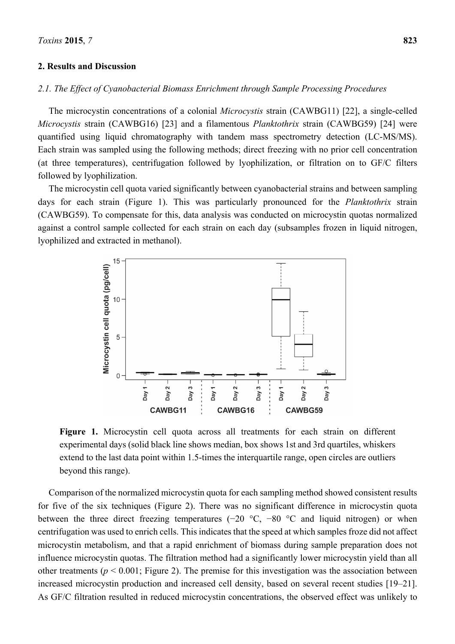## **2. Results and Discussion**

# *2.1. The Effect of Cyanobacterial Biomass Enrichment through Sample Processing Procedures*

The microcystin concentrations of a colonial *Microcystis* strain (CAWBG11) [22], a single-celled *Microcystis* strain (CAWBG16) [23] and a filamentous *Planktothrix* strain (CAWBG59) [24] were quantified using liquid chromatography with tandem mass spectrometry detection (LC-MS/MS). Each strain was sampled using the following methods; direct freezing with no prior cell concentration (at three temperatures), centrifugation followed by lyophilization, or filtration on to GF/C filters followed by lyophilization.

The microcystin cell quota varied significantly between cyanobacterial strains and between sampling days for each strain (Figure 1). This was particularly pronounced for the *Planktothrix* strain (CAWBG59). To compensate for this, data analysis was conducted on microcystin quotas normalized against a control sample collected for each strain on each day (subsamples frozen in liquid nitrogen, lyophilized and extracted in methanol).



**Figure 1.** Microcystin cell quota across all treatments for each strain on different experimental days (solid black line shows median, box shows 1st and 3rd quartiles, whiskers extend to the last data point within 1.5-times the interquartile range, open circles are outliers beyond this range).

Comparison of the normalized microcystin quota for each sampling method showed consistent results for five of the six techniques (Figure 2). There was no significant difference in microcystin quota between the three direct freezing temperatures (−20 °C, −80 °C and liquid nitrogen) or when centrifugation was used to enrich cells. This indicates that the speed at which samples froze did not affect microcystin metabolism, and that a rapid enrichment of biomass during sample preparation does not influence microcystin quotas. The filtration method had a significantly lower microcystin yield than all other treatments ( $p < 0.001$ ; Figure 2). The premise for this investigation was the association between increased microcystin production and increased cell density, based on several recent studies [19–21]. As GF/C filtration resulted in reduced microcystin concentrations, the observed effect was unlikely to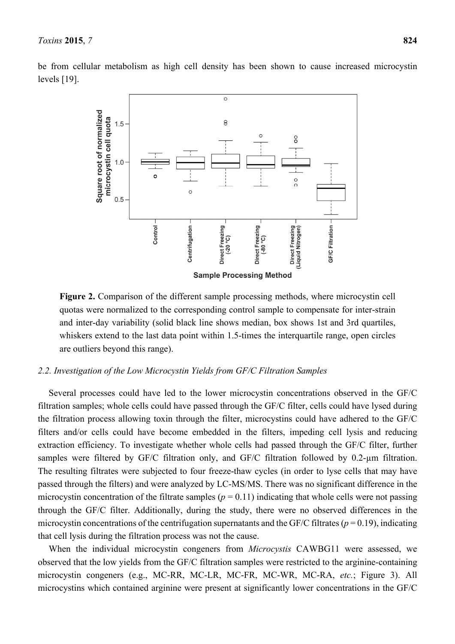be from cellular metabolism as high cell density has been shown to cause increased microcystin levels [19].



**Figure 2.** Comparison of the different sample processing methods, where microcystin cell quotas were normalized to the corresponding control sample to compensate for inter-strain and inter-day variability (solid black line shows median, box shows 1st and 3rd quartiles, whiskers extend to the last data point within 1.5-times the interquartile range, open circles are outliers beyond this range).

# *2.2. Investigation of the Low Microcystin Yields from GF/C Filtration Samples*

Several processes could have led to the lower microcystin concentrations observed in the GF/C filtration samples; whole cells could have passed through the GF/C filter, cells could have lysed during the filtration process allowing toxin through the filter, microcystins could have adhered to the GF/C filters and/or cells could have become embedded in the filters, impeding cell lysis and reducing extraction efficiency. To investigate whether whole cells had passed through the GF/C filter, further samples were filtered by GF/C filtration only, and GF/C filtration followed by 0.2-um filtration. The resulting filtrates were subjected to four freeze-thaw cycles (in order to lyse cells that may have passed through the filters) and were analyzed by LC-MS/MS. There was no significant difference in the microcystin concentration of the filtrate samples ( $p = 0.11$ ) indicating that whole cells were not passing through the GF/C filter. Additionally, during the study, there were no observed differences in the microcystin concentrations of the centrifugation supernatants and the GF/C filtrates ( $p = 0.19$ ), indicating that cell lysis during the filtration process was not the cause.

When the individual microcystin congeners from *Microcystis* CAWBG11 were assessed, we observed that the low yields from the GF/C filtration samples were restricted to the arginine-containing microcystin congeners (e.g., MC-RR, MC-LR, MC-FR, MC-WR, MC-RA, *etc.*; Figure 3). All microcystins which contained arginine were present at significantly lower concentrations in the GF/C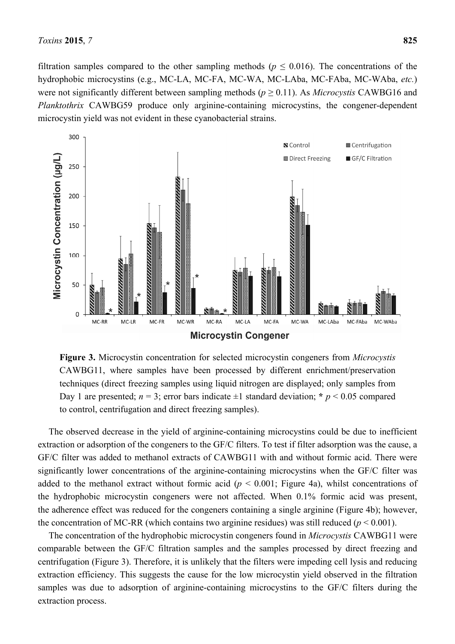filtration samples compared to the other sampling methods ( $p \leq 0.016$ ). The concentrations of the hydrophobic microcystins (e.g., MC-LA, MC-FA, MC-WA, MC-LAba, MC-FAba, MC-WAba, *etc.*) were not significantly different between sampling methods ( $p \ge 0.11$ ). As *Microcystis* CAWBG16 and *Planktothrix* CAWBG59 produce only arginine-containing microcystins, the congener-dependent microcystin yield was not evident in these cyanobacterial strains.



**Figure 3.** Microcystin concentration for selected microcystin congeners from *Microcystis* CAWBG11, where samples have been processed by different enrichment/preservation techniques (direct freezing samples using liquid nitrogen are displayed; only samples from Day 1 are presented;  $n = 3$ ; error bars indicate  $\pm 1$  standard deviation;  $\star p \le 0.05$  compared to control, centrifugation and direct freezing samples).

The observed decrease in the yield of arginine-containing microcystins could be due to inefficient extraction or adsorption of the congeners to the GF/C filters. To test if filter adsorption was the cause, a GF/C filter was added to methanol extracts of CAWBG11 with and without formic acid. There were significantly lower concentrations of the arginine-containing microcystins when the GF/C filter was added to the methanol extract without formic acid ( $p < 0.001$ ; Figure 4a), whilst concentrations of the hydrophobic microcystin congeners were not affected. When 0.1% formic acid was present, the adherence effect was reduced for the congeners containing a single arginine (Figure 4b); however, the concentration of MC-RR (which contains two arginine residues) was still reduced ( $p < 0.001$ ).

The concentration of the hydrophobic microcystin congeners found in *Microcystis* CAWBG11 were comparable between the GF/C filtration samples and the samples processed by direct freezing and centrifugation (Figure 3). Therefore, it is unlikely that the filters were impeding cell lysis and reducing extraction efficiency. This suggests the cause for the low microcystin yield observed in the filtration samples was due to adsorption of arginine-containing microcystins to the GF/C filters during the extraction process.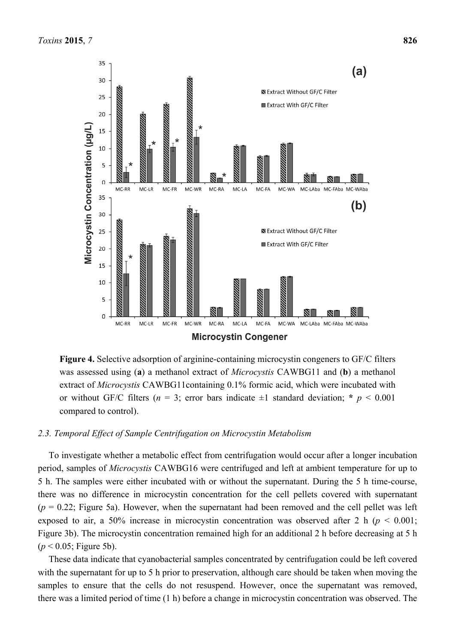

**Figure 4.** Selective adsorption of arginine-containing microcystin congeners to GF/C filters was assessed using (**a**) a methanol extract of *Microcystis* CAWBG11 and (**b**) a methanol extract of *Microcystis* CAWBG11containing 0.1% formic acid, which were incubated with or without GF/C filters ( $n = 3$ ; error bars indicate  $\pm 1$  standard deviation; \*  $p < 0.001$ compared to control).

# *2.3. Temporal Effect of Sample Centrifugation on Microcystin Metabolism*

To investigate whether a metabolic effect from centrifugation would occur after a longer incubation period, samples of *Microcystis* CAWBG16 were centrifuged and left at ambient temperature for up to 5 h. The samples were either incubated with or without the supernatant. During the 5 h time-course, there was no difference in microcystin concentration for the cell pellets covered with supernatant  $(p = 0.22$ ; Figure 5a). However, when the supernatant had been removed and the cell pellet was left exposed to air, a 50% increase in microcystin concentration was observed after 2 h (*p* < 0.001; Figure 3b). The microcystin concentration remained high for an additional 2 h before decreasing at 5 h (*p* < 0.05; Figure 5b).

These data indicate that cyanobacterial samples concentrated by centrifugation could be left covered with the supernatant for up to 5 h prior to preservation, although care should be taken when moving the samples to ensure that the cells do not resuspend. However, once the supernatant was removed, there was a limited period of time (1 h) before a change in microcystin concentration was observed. The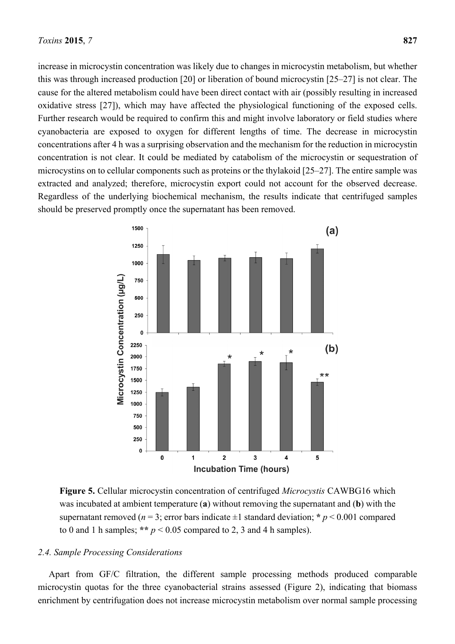increase in microcystin concentration was likely due to changes in microcystin metabolism, but whether this was through increased production [20] or liberation of bound microcystin [25–27] is not clear. The cause for the altered metabolism could have been direct contact with air (possibly resulting in increased oxidative stress [27]), which may have affected the physiological functioning of the exposed cells. Further research would be required to confirm this and might involve laboratory or field studies where cyanobacteria are exposed to oxygen for different lengths of time. The decrease in microcystin concentrations after 4 h was a surprising observation and the mechanism for the reduction in microcystin concentration is not clear. It could be mediated by catabolism of the microcystin or sequestration of microcystins on to cellular components such as proteins or the thylakoid [25–27]. The entire sample was extracted and analyzed; therefore, microcystin export could not account for the observed decrease. Regardless of the underlying biochemical mechanism, the results indicate that centrifuged samples should be preserved promptly once the supernatant has been removed.



**Figure 5.** Cellular microcystin concentration of centrifuged *Microcystis* CAWBG16 which was incubated at ambient temperature (**a**) without removing the supernatant and (**b**) with the supernatant removed ( $n = 3$ ; error bars indicate  $\pm 1$  standard deviation; \*  $p \le 0.001$  compared to 0 and 1 h samples; \*\*  $p < 0.05$  compared to 2, 3 and 4 h samples).

## *2.4. Sample Processing Considerations*

Apart from GF/C filtration, the different sample processing methods produced comparable microcystin quotas for the three cyanobacterial strains assessed (Figure 2), indicating that biomass enrichment by centrifugation does not increase microcystin metabolism over normal sample processing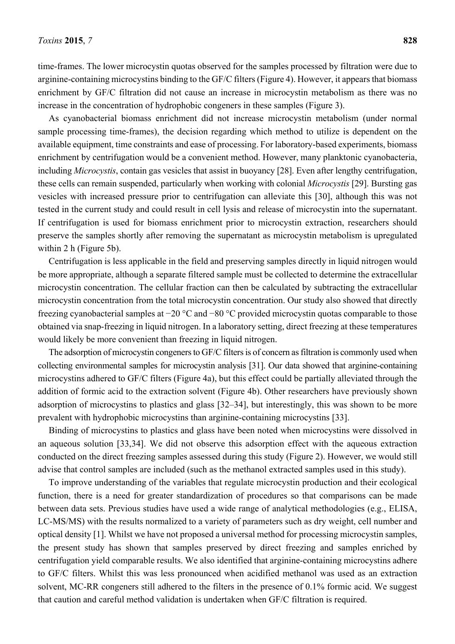time-frames. The lower microcystin quotas observed for the samples processed by filtration were due to arginine-containing microcystins binding to the GF/C filters (Figure 4). However, it appears that biomass enrichment by GF/C filtration did not cause an increase in microcystin metabolism as there was no increase in the concentration of hydrophobic congeners in these samples (Figure 3).

As cyanobacterial biomass enrichment did not increase microcystin metabolism (under normal sample processing time-frames), the decision regarding which method to utilize is dependent on the available equipment, time constraints and ease of processing. For laboratory-based experiments, biomass enrichment by centrifugation would be a convenient method. However, many planktonic cyanobacteria, including *Microcystis*, contain gas vesicles that assist in buoyancy [28]. Even after lengthy centrifugation, these cells can remain suspended, particularly when working with colonial *Microcystis* [29]. Bursting gas vesicles with increased pressure prior to centrifugation can alleviate this [30], although this was not tested in the current study and could result in cell lysis and release of microcystin into the supernatant. If centrifugation is used for biomass enrichment prior to microcystin extraction, researchers should preserve the samples shortly after removing the supernatant as microcystin metabolism is upregulated within 2 h (Figure 5b).

Centrifugation is less applicable in the field and preserving samples directly in liquid nitrogen would be more appropriate, although a separate filtered sample must be collected to determine the extracellular microcystin concentration. The cellular fraction can then be calculated by subtracting the extracellular microcystin concentration from the total microcystin concentration. Our study also showed that directly freezing cyanobacterial samples at −20 °C and −80 °C provided microcystin quotas comparable to those obtained via snap-freezing in liquid nitrogen. In a laboratory setting, direct freezing at these temperatures would likely be more convenient than freezing in liquid nitrogen.

The adsorption of microcystin congeners to GF/C filters is of concern as filtration is commonly used when collecting environmental samples for microcystin analysis [31]. Our data showed that arginine-containing microcystins adhered to GF/C filters (Figure 4a), but this effect could be partially alleviated through the addition of formic acid to the extraction solvent (Figure 4b). Other researchers have previously shown adsorption of microcystins to plastics and glass [32–34], but interestingly, this was shown to be more prevalent with hydrophobic microcystins than arginine-containing microcystins [33].

Binding of microcystins to plastics and glass have been noted when microcystins were dissolved in an aqueous solution [33,34]. We did not observe this adsorption effect with the aqueous extraction conducted on the direct freezing samples assessed during this study (Figure 2). However, we would still advise that control samples are included (such as the methanol extracted samples used in this study).

To improve understanding of the variables that regulate microcystin production and their ecological function, there is a need for greater standardization of procedures so that comparisons can be made between data sets. Previous studies have used a wide range of analytical methodologies (e.g., ELISA, LC-MS/MS) with the results normalized to a variety of parameters such as dry weight, cell number and optical density [1]. Whilst we have not proposed a universal method for processing microcystin samples, the present study has shown that samples preserved by direct freezing and samples enriched by centrifugation yield comparable results. We also identified that arginine-containing microcystins adhere to GF/C filters. Whilst this was less pronounced when acidified methanol was used as an extraction solvent, MC-RR congeners still adhered to the filters in the presence of 0.1% formic acid. We suggest that caution and careful method validation is undertaken when GF/C filtration is required.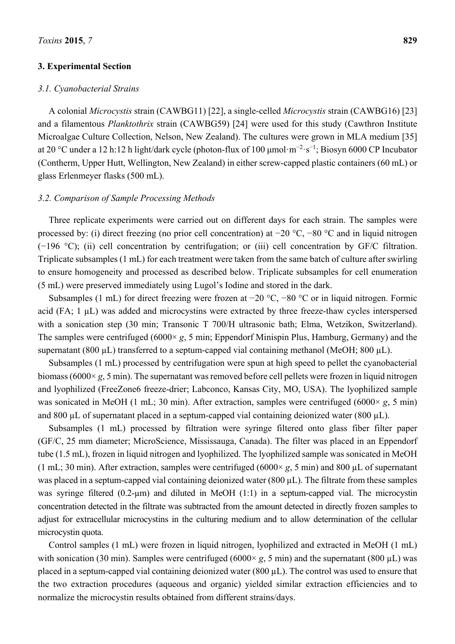## **3. Experimental Section**

## *3.1. Cyanobacterial Strains*

A colonial *Microcystis* strain (CAWBG11) [22], a single-celled *Microcystis* strain (CAWBG16) [23] and a filamentous *Planktothrix* strain (CAWBG59) [24] were used for this study (Cawthron Institute Microalgae Culture Collection, Nelson, New Zealand). The cultures were grown in MLA medium [35] at 20 °C under a 12 h:12 h light/dark cycle (photon-flux of 100 μmol·m<sup>-2</sup>·s<sup>-1</sup>; Biosyn 6000 CP Incubator (Contherm, Upper Hutt, Wellington, New Zealand) in either screw-capped plastic containers (60 mL) or glass Erlenmeyer flasks (500 mL).

## *3.2. Comparison of Sample Processing Methods*

Three replicate experiments were carried out on different days for each strain. The samples were processed by: (i) direct freezing (no prior cell concentration) at −20 °C, −80 °C and in liquid nitrogen (−196 °C); (ii) cell concentration by centrifugation; or (iii) cell concentration by GF/C filtration. Triplicate subsamples (1 mL) for each treatment were taken from the same batch of culture after swirling to ensure homogeneity and processed as described below. Triplicate subsamples for cell enumeration (5 mL) were preserved immediately using Lugol's Iodine and stored in the dark.

Subsamples (1 mL) for direct freezing were frozen at −20 °C, −80 °C or in liquid nitrogen. Formic acid (FA; 1 µL) was added and microcystins were extracted by three freeze-thaw cycles interspersed with a sonication step (30 min; Transonic T 700/H ultrasonic bath; Elma, Wetzikon, Switzerland). The samples were centrifuged (6000× *g*, 5 min; Eppendorf Minispin Plus, Hamburg, Germany) and the supernatant (800  $\mu$ L) transferred to a septum-capped vial containing methanol (MeOH; 800  $\mu$ L).

Subsamples (1 mL) processed by centrifugation were spun at high speed to pellet the cyanobacterial biomass (6000× *g*, 5 min). The supernatant was removed before cell pellets were frozen in liquid nitrogen and lyophilized (FreeZone6 freeze-drier; Labconco, Kansas City, MO, USA). The lyophilized sample was sonicated in MeOH (1 mL; 30 min). After extraction, samples were centrifuged (6000× *g*, 5 min) and 800  $\mu$ L of supernatant placed in a septum-capped vial containing deionized water (800  $\mu$ L).

Subsamples (1 mL) processed by filtration were syringe filtered onto glass fiber filter paper (GF/C, 25 mm diameter; MicroScience, Mississauga, Canada). The filter was placed in an Eppendorf tube (1.5 mL), frozen in liquid nitrogen and lyophilized. The lyophilized sample was sonicated in MeOH (1 mL; 30 min). After extraction, samples were centrifuged (6000× *g*, 5 min) and 800 µL of supernatant was placed in a septum-capped vial containing deionized water (800 µL). The filtrate from these samples was syringe filtered (0.2-µm) and diluted in MeOH (1:1) in a septum-capped vial. The microcystin concentration detected in the filtrate was subtracted from the amount detected in directly frozen samples to adjust for extracellular microcystins in the culturing medium and to allow determination of the cellular microcystin quota.

Control samples (1 mL) were frozen in liquid nitrogen, lyophilized and extracted in MeOH (1 mL) with sonication (30 min). Samples were centrifuged (6000 $\times$  *g*, 5 min) and the supernatant (800  $\mu$ L) was placed in a septum-capped vial containing deionized water (800 µL). The control was used to ensure that the two extraction procedures (aqueous and organic) yielded similar extraction efficiencies and to normalize the microcystin results obtained from different strains/days.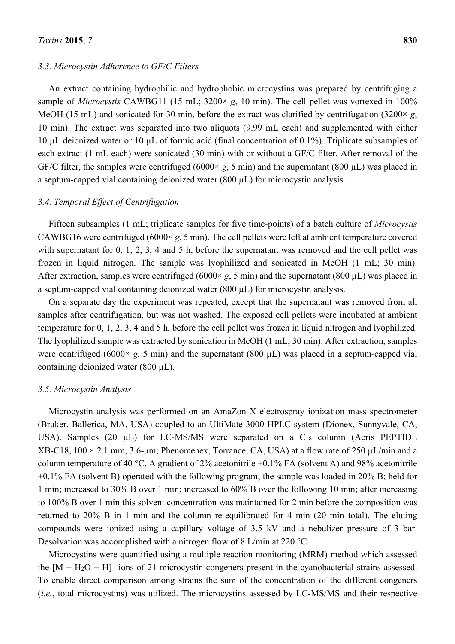#### *3.3. Microcystin Adherence to GF/C Filters*

An extract containing hydrophilic and hydrophobic microcystins was prepared by centrifuging a sample of *Microcystis* CAWBG11 (15 mL; 3200× *g*, 10 min). The cell pellet was vortexed in 100% MeOH (15 mL) and sonicated for 30 min, before the extract was clarified by centrifugation (3200× *g*, 10 min). The extract was separated into two aliquots (9.99 mL each) and supplemented with either 10 µL deionized water or 10 µL of formic acid (final concentration of 0.1%). Triplicate subsamples of each extract (1 mL each) were sonicated (30 min) with or without a GF/C filter. After removal of the GF/C filter, the samples were centrifuged (6000× *g*, 5 min) and the supernatant (800 µL) was placed in a septum-capped vial containing deionized water (800 µL) for microcystin analysis.

## *3.4. Temporal Effect of Centrifugation*

Fifteen subsamples (1 mL; triplicate samples for five time-points) of a batch culture of *Microcystis* CAWBG16 were centrifuged (6000× *g*, 5 min). The cell pellets were left at ambient temperature covered with supernatant for 0, 1, 2, 3, 4 and 5 h, before the supernatant was removed and the cell pellet was frozen in liquid nitrogen. The sample was lyophilized and sonicated in MeOH (1 mL; 30 min). After extraction, samples were centrifuged (6000 $\times g$ , 5 min) and the supernatant (800  $\mu$ L) was placed in a septum-capped vial containing deionized water (800 µL) for microcystin analysis.

On a separate day the experiment was repeated, except that the supernatant was removed from all samples after centrifugation, but was not washed. The exposed cell pellets were incubated at ambient temperature for 0, 1, 2, 3, 4 and 5 h, before the cell pellet was frozen in liquid nitrogen and lyophilized. The lyophilized sample was extracted by sonication in MeOH (1 mL; 30 min). After extraction, samples were centrifuged (6000 $\times$  *g*, 5 min) and the supernatant (800  $\mu$ L) was placed in a septum-capped vial containing deionized water  $(800 \mu L)$ .

#### *3.5. Microcystin Analysis*

Microcystin analysis was performed on an AmaZon X electrospray ionization mass spectrometer (Bruker, Ballerica, MA, USA) coupled to an UltiMate 3000 HPLC system (Dionex, Sunnyvale, CA, USA). Samples (20 µL) for LC-MS/MS were separated on a C<sub>18</sub> column (Aeris PEPTIDE  $XB-C18, 100 \times 2.1$  mm, 3.6-µm; Phenomenex, Torrance, CA, USA) at a flow rate of 250 µL/min and a column temperature of 40 °C. A gradient of 2% acetonitrile +0.1% FA (solvent A) and 98% acetonitrile +0.1% FA (solvent B) operated with the following program; the sample was loaded in 20% B; held for 1 min; increased to 30% B over 1 min; increased to 60% B over the following 10 min; after increasing to 100% B over 1 min this solvent concentration was maintained for 2 min before the composition was returned to 20% B in 1 min and the column re-equilibrated for 4 min (20 min total). The eluting compounds were ionized using a capillary voltage of 3.5 kV and a nebulizer pressure of 3 bar. Desolvation was accomplished with a nitrogen flow of 8 L/min at 220 °C.

Microcystins were quantified using a multiple reaction monitoring (MRM) method which assessed the  $[M - H<sub>2</sub>O - H]$ <sup>-</sup> ions of 21 microcystin congeners present in the cyanobacterial strains assessed. To enable direct comparison among strains the sum of the concentration of the different congeners (*i.e.*, total microcystins) was utilized. The microcystins assessed by LC-MS/MS and their respective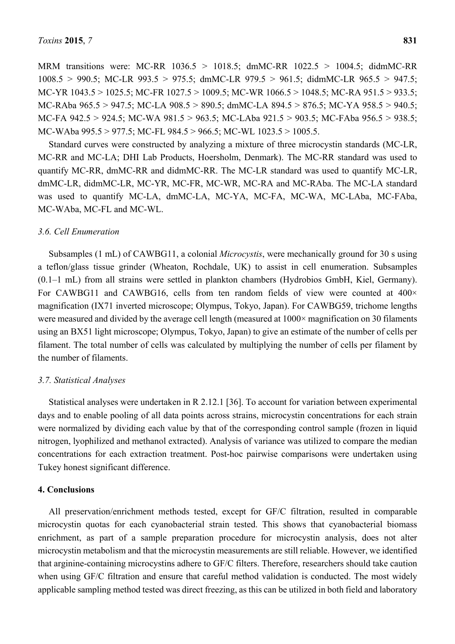MRM transitions were: MC-RR 1036.5 > 1018.5; dmMC-RR 1022.5 > 1004.5; didmMC-RR 1008.5 > 990.5; MC-LR 993.5 > 975.5; dmMC-LR 979.5 > 961.5; didmMC-LR 965.5 > 947.5; MC-YR 1043.5 > 1025.5; MC-FR 1027.5 > 1009.5; MC-WR 1066.5 > 1048.5; MC-RA 951.5 > 933.5; MC-RAba 965.5 > 947.5; MC-LA 908.5 > 890.5; dmMC-LA 894.5 > 876.5; MC-YA 958.5 > 940.5; MC-FA 942.5 > 924.5; MC-WA 981.5 > 963.5; MC-LAba 921.5 > 903.5; MC-FAba 956.5 > 938.5; MC-WAba 995.5 > 977.5; MC-FL 984.5 > 966.5; MC-WL 1023.5 > 1005.5.

Standard curves were constructed by analyzing a mixture of three microcystin standards (MC-LR, MC-RR and MC-LA; DHI Lab Products, Hoersholm, Denmark). The MC-RR standard was used to quantify MC-RR, dmMC-RR and didmMC-RR. The MC-LR standard was used to quantify MC-LR, dmMC-LR, didmMC-LR, MC-YR, MC-FR, MC-WR, MC-RA and MC-RAba. The MC-LA standard was used to quantify MC-LA, dmMC-LA, MC-YA, MC-FA, MC-WA, MC-LAba, MC-FAba, MC-WAba, MC-FL and MC-WL.

#### *3.6. Cell Enumeration*

Subsamples (1 mL) of CAWBG11, a colonial *Microcystis*, were mechanically ground for 30 s using a teflon/glass tissue grinder (Wheaton, Rochdale, UK) to assist in cell enumeration. Subsamples (0.1–1 mL) from all strains were settled in plankton chambers (Hydrobios GmbH, Kiel, Germany). For CAWBG11 and CAWBG16, cells from ten random fields of view were counted at  $400 \times$ magnification (IX71 inverted microscope; Olympus, Tokyo, Japan). For CAWBG59, trichome lengths were measured and divided by the average cell length (measured at  $1000\times$  magnification on 30 filaments using an BX51 light microscope; Olympus, Tokyo, Japan) to give an estimate of the number of cells per filament. The total number of cells was calculated by multiplying the number of cells per filament by the number of filaments.

#### *3.7. Statistical Analyses*

Statistical analyses were undertaken in R 2.12.1 [36]. To account for variation between experimental days and to enable pooling of all data points across strains, microcystin concentrations for each strain were normalized by dividing each value by that of the corresponding control sample (frozen in liquid nitrogen, lyophilized and methanol extracted). Analysis of variance was utilized to compare the median concentrations for each extraction treatment. Post-hoc pairwise comparisons were undertaken using Tukey honest significant difference.

#### **4. Conclusions**

All preservation/enrichment methods tested, except for GF/C filtration, resulted in comparable microcystin quotas for each cyanobacterial strain tested. This shows that cyanobacterial biomass enrichment, as part of a sample preparation procedure for microcystin analysis, does not alter microcystin metabolism and that the microcystin measurements are still reliable. However, we identified that arginine-containing microcystins adhere to GF/C filters. Therefore, researchers should take caution when using GF/C filtration and ensure that careful method validation is conducted. The most widely applicable sampling method tested was direct freezing, as this can be utilized in both field and laboratory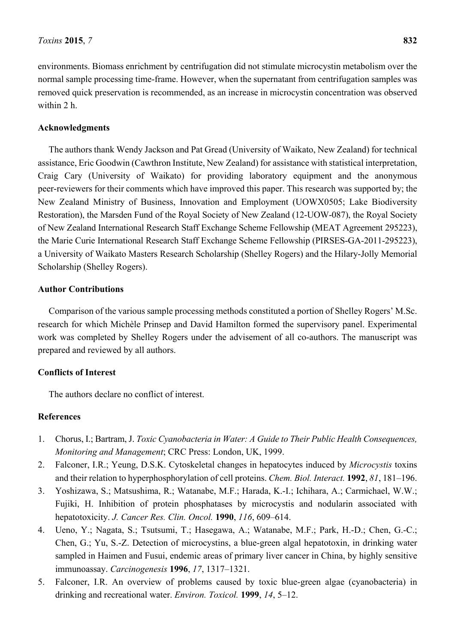environments. Biomass enrichment by centrifugation did not stimulate microcystin metabolism over the normal sample processing time-frame. However, when the supernatant from centrifugation samples was removed quick preservation is recommended, as an increase in microcystin concentration was observed within 2 h.

# **Acknowledgments**

The authors thank Wendy Jackson and Pat Gread (University of Waikato, New Zealand) for technical assistance, Eric Goodwin (Cawthron Institute, New Zealand) for assistance with statistical interpretation, Craig Cary (University of Waikato) for providing laboratory equipment and the anonymous peer-reviewers for their comments which have improved this paper. This research was supported by; the New Zealand Ministry of Business, Innovation and Employment (UOWX0505; Lake Biodiversity Restoration), the Marsden Fund of the Royal Society of New Zealand (12-UOW-087), the Royal Society of New Zealand International Research Staff Exchange Scheme Fellowship (MEAT Agreement 295223), the Marie Curie International Research Staff Exchange Scheme Fellowship (PIRSES-GA-2011-295223), a University of Waikato Masters Research Scholarship (Shelley Rogers) and the Hilary-Jolly Memorial Scholarship (Shelley Rogers).

# **Author Contributions**

Comparison of the various sample processing methods constituted a portion of Shelley Rogers' M.Sc. research for which Michèle Prinsep and David Hamilton formed the supervisory panel. Experimental work was completed by Shelley Rogers under the advisement of all co-authors. The manuscript was prepared and reviewed by all authors.

# **Conflicts of Interest**

The authors declare no conflict of interest.

# **References**

- 1. Chorus, I.; Bartram, J. *Toxic Cyanobacteria in Water: A Guide to Their Public Health Consequences, Monitoring and Management*; CRC Press: London, UK, 1999.
- 2. Falconer, I.R.; Yeung, D.S.K. Cytoskeletal changes in hepatocytes induced by *Microcystis* toxins and their relation to hyperphosphorylation of cell proteins. *Chem. Biol. Interact.* **1992**, *81*, 181–196.
- 3. Yoshizawa, S.; Matsushima, R.; Watanabe, M.F.; Harada, K.-I.; Ichihara, A.; Carmichael, W.W.; Fujiki, H. Inhibition of protein phosphatases by microcystis and nodularin associated with hepatotoxicity. *J. Cancer Res. Clin. Oncol.* **1990**, *116*, 609–614.
- 4. Ueno, Y.; Nagata, S.; Tsutsumi, T.; Hasegawa, A.; Watanabe, M.F.; Park, H.-D.; Chen, G.-C.; Chen, G.; Yu, S.-Z. Detection of microcystins, a blue-green algal hepatotoxin, in drinking water sampled in Haimen and Fusui, endemic areas of primary liver cancer in China, by highly sensitive immunoassay. *Carcinogenesis* **1996**, *17*, 1317–1321.
- 5. Falconer, I.R. An overview of problems caused by toxic blue-green algae (cyanobacteria) in drinking and recreational water. *Environ. Toxicol.* **1999**, *14*, 5–12.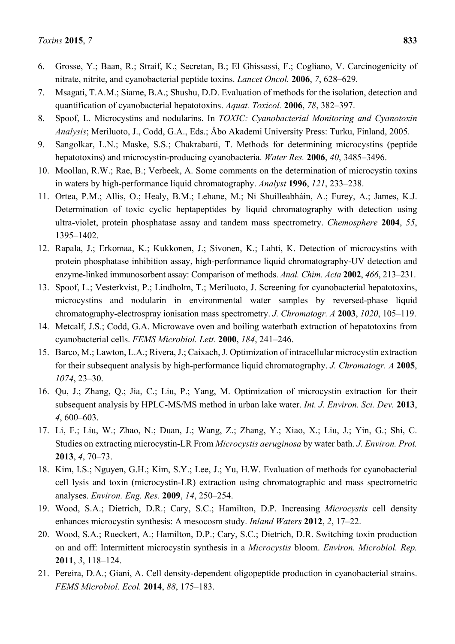- 6. Grosse, Y.; Baan, R.; Straif, K.; Secretan, B.; El Ghissassi, F.; Cogliano, V. Carcinogenicity of nitrate, nitrite, and cyanobacterial peptide toxins. *Lancet Oncol.* **2006**, *7*, 628–629.
- 7. Msagati, T.A.M.; Siame, B.A.; Shushu, D.D. Evaluation of methods for the isolation, detection and quantification of cyanobacterial hepatotoxins. *Aquat. Toxicol.* **2006**, *78*, 382–397.
- 8. Spoof, L. Microcystins and nodularins. In *TOXIC: Cyanobacterial Monitoring and Cyanotoxin Analysis*; Meriluoto, J., Codd, G.A., Eds.; Åbo Akademi University Press: Turku, Finland, 2005.
- 9. Sangolkar, L.N.; Maske, S.S.; Chakrabarti, T. Methods for determining microcystins (peptide hepatotoxins) and microcystin-producing cyanobacteria. *Water Res.* **2006**, *40*, 3485–3496.
- 10. Moollan, R.W.; Rae, B.; Verbeek, A. Some comments on the determination of microcystin toxins in waters by high-performance liquid chromatography. *Analyst* **1996**, *121*, 233–238.
- 11. Ortea, P.M.; Allis, O.; Healy, B.M.; Lehane, M.; Nı́ Shuilleabháin, A.; Furey, A.; James, K.J. Determination of toxic cyclic heptapeptides by liquid chromatography with detection using ultra-violet, protein phosphatase assay and tandem mass spectrometry. *Chemosphere* **2004**, *55*, 1395–1402.
- 12. Rapala, J.; Erkomaa, K.; Kukkonen, J.; Sivonen, K.; Lahti, K. Detection of microcystins with protein phosphatase inhibition assay, high-performance liquid chromatography-UV detection and enzyme-linked immunosorbent assay: Comparison of methods. *Anal. Chim. Acta* **2002**, *466*, 213–231.
- 13. Spoof, L.; Vesterkvist, P.; Lindholm, T.; Meriluoto, J. Screening for cyanobacterial hepatotoxins, microcystins and nodularin in environmental water samples by reversed-phase liquid chromatography-electrospray ionisation mass spectrometry. *J. Chromatogr. A* **2003**, *1020*, 105–119.
- 14. Metcalf, J.S.; Codd, G.A. Microwave oven and boiling waterbath extraction of hepatotoxins from cyanobacterial cells. *FEMS Microbiol. Lett.* **2000**, *184*, 241–246.
- 15. Barco, M.; Lawton, L.A.; Rivera, J.; Caixach, J. Optimization of intracellular microcystin extraction for their subsequent analysis by high-performance liquid chromatography. *J. Chromatogr. A* **2005**, *1074*, 23–30.
- 16. Qu, J.; Zhang, Q.; Jia, C.; Liu, P.; Yang, M. Optimization of microcystin extraction for their subsequent analysis by HPLC-MS/MS method in urban lake water. *Int. J. Environ. Sci. Dev.* **2013**, *4*, 600–603.
- 17. Li, F.; Liu, W.; Zhao, N.; Duan, J.; Wang, Z.; Zhang, Y.; Xiao, X.; Liu, J.; Yin, G.; Shi, C. Studies on extracting microcystin-LR From *Microcystis aeruginosa* by water bath. *J. Environ. Prot.*  **2013**, *4*, 70–73.
- 18. Kim, I.S.; Nguyen, G.H.; Kim, S.Y.; Lee, J.; Yu, H.W. Evaluation of methods for cyanobacterial cell lysis and toxin (microcystin-LR) extraction using chromatographic and mass spectrometric analyses. *Environ. Eng. Res.* **2009**, *14*, 250–254.
- 19. Wood, S.A.; Dietrich, D.R.; Cary, S.C.; Hamilton, D.P. Increasing *Microcystis* cell density enhances microcystin synthesis: A mesocosm study. *Inland Waters* **2012**, *2*, 17–22.
- 20. Wood, S.A.; Rueckert, A.; Hamilton, D.P.; Cary, S.C.; Dietrich, D.R. Switching toxin production on and off: Intermittent microcystin synthesis in a *Microcystis* bloom. *Environ. Microbiol. Rep.*  **2011**, *3*, 118–124.
- 21. Pereira, D.A.; Giani, A. Cell density-dependent oligopeptide production in cyanobacterial strains. *FEMS Microbiol. Ecol.* **2014**, *88*, 175–183.